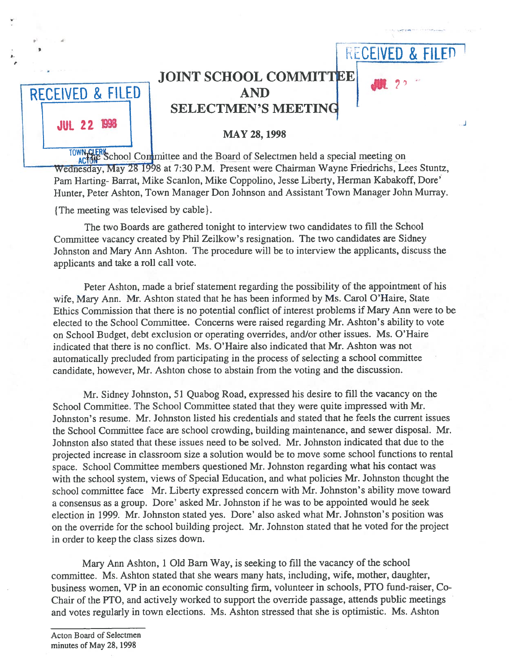|                    |                                                                       | <b>RECEIVED &amp; FILED</b> |  |
|--------------------|-----------------------------------------------------------------------|-----------------------------|--|
|                    | <b>JOINT SCHOOL COMMITTEE</b>                                         |                             |  |
| RECEIVED & FILED   | <b>AND</b>                                                            |                             |  |
|                    | <b>SELECTMEN'S MEETING</b>                                            |                             |  |
| <b>JUL 22 1998</b> | <b>MAY 28, 1998</b>                                                   |                             |  |
|                    | School Committee and the Board of Selectmen held a special meeting on |                             |  |

Wednesday, May 28 1998 at 7:30 P.M. Present were Chairman Wayne Friedrichs, Lees Stuntz, Pam Harting- Barrat, Mike Scanlon, Mike Coppolino, Jesse Liberty, Herman Kabakoff, Dore' Hunter, Peter Ashton, Town Manager Don Johnson and Assistant Town Manager John Murray.

The meeting was televised by cable)

The two Boards are gathered tonight to interview two candidates to fill the School Committee vacancy created by Phil Zeilkow's resignation. The two candidates are Sidney Johnston and Mary Ann Ashton. The procedure will be to interview the applicants, discuss the applicants and take <sup>a</sup> roll call vote.

Peter Ashton, made <sup>a</sup> brief statement regarding the possibility of the appointment of his wife, Mary Ann. Mr. Ashton stated that he has been informed by Ms. Carol O'Haire, State Ethics Commission that there is no potential conflict of interest problems if Mary Ann were to be elected to the School Committee. Concerns were raised regarding Mr. Ashton's ability to vote on School Budget, debt exclusion or operating overrides, and/or other issues. Ms. O'Haire indicated that there is no conflict. Ms. O'Haire also indicated that Mr. Ashton was not automatically precluded from participating in the process of selecting <sup>a</sup> school committee candidate, however, Mr. Ashton chose to abstain from the voting and the discussion.

Mr. Sidney Johnston, 51 Quabog Road, expressed his desire to fill the vacancy on the School Committee. The School Committee stated that they were quite impressed with Mr. Johnston's resume. Mr. Johnston listed his credentials and stated that he feels the current issues the School Committee face are school crowding, building maintenance, and sewer disposal. Mr. Johnston also stated that these issues need to be solved. Mr. Johnston indicated that due to the projected increase in classroom size <sup>a</sup> solution would be to move some school functions to rental space. School Committee members questioned Mr. Johnston regarding what his contact was with the school system, views of Special Education, and what policies Mr. Johnston thought the school committee face Mr. Liberty expressed concern with Mr. Johnston's ability move toward <sup>a</sup> consensus as <sup>a</sup> group. Dore' asked Mr. Johnston if he was to be appointed would he seek election in 1999. Mr. Johnston stated yes. Dore' also asked what Mr. Johnston's position was on the override for the school building project. Mr. Johnston stated that he voted for the project in order to keep the class sizes down.

Mary Ann Ashton, <sup>1</sup> Old Barn Way, is seeking to fill the vacancy of the school committee. Ms. Ashton stated that she wears many hats, including, wife, mother, daughter, business women, VP in an economic consulting firm, volunteer in schools, PTO fund-raiser, Co-Chair of the PTO, and actively worked to support the override passage, attends public meetings and votes regularly in town elections. Ms. Ashton stressed that she is optimistic. Ms. Ashton

Acton Board of Selectmen minutes of May 28, 1998